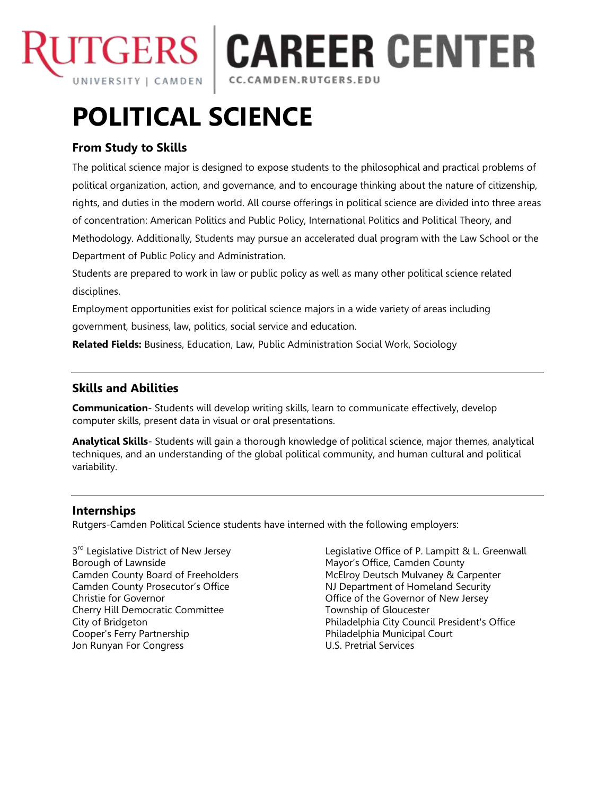

**CAREER CENTER** CC.CAMDEN.RUTGERS.EDU

# **POLITICAL SCIENCE**

# **From Study to Skills**

The political science major is designed to expose students to the philosophical and practical problems of political organization, action, and governance, and to encourage thinking about the nature of citizenship, rights, and duties in the modern world. All course offerings in political science are divided into three areas of concentration: American Politics and Public Policy, International Politics and Political Theory, and Methodology. Additionally, Students may pursue an accelerated dual program with the Law School or the Department of Public Policy and Administration.

Students are prepared to work in law or public policy as well as many other political science related disciplines.

Employment opportunities exist for political science majors in a wide variety of areas including government, business, law, politics, social service and education.

**Related Fields:** Business, Education, Law, Public Administration Social Work, Sociology

# **Skills and Abilities**

**Communication**- Students will develop writing skills, learn to communicate effectively, develop computer skills, present data in visual or oral presentations.

**Analytical Skills**- Students will gain a thorough knowledge of political science, major themes, analytical techniques, and an understanding of the global political community, and human cultural and political variability.

### **Internships**

Rutgers-Camden Political Science students have interned with the following employers:

3<sup>rd</sup> Legislative District of New Jersey<br>Borough of Lawnside Christie for Governor **Christian Community** Christie for Governor of New Jersey Cherry Hill Democratic Committee Township of Gloucester Cooper's Ferry Partnership **Philadelphia Municipal Court**<br>
Jon Runyan For Congress **Philadelphia Municipal Court** Jon Runyan For Congress

Legislative Office of P. Lampitt & L. Greenwall Mayor's Office, Camden County Camden County Board of Freeholders McElroy Deutsch Mulvaney & Carpenter Camden County Prosecutor's Office NJ Department of Homeland Security City of Bridgeton Philadelphia City Council President's Office